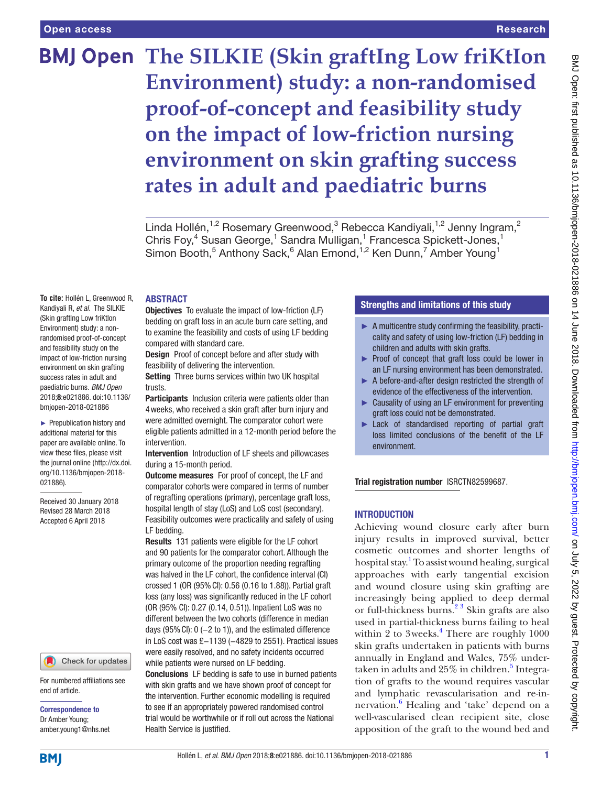**To cite:** Hollén L, Greenwood R,

paediatric burns. *BMJ Open* 2018;8:e021886. doi:10.1136/ bmjopen-2018-021886 ► Prepublication history and additional material for this paper are available online. To view these files, please visit the journal online [\(http://dx.doi.](http://dx.doi.org/10.1136/bmjopen-2018-021886) [org/10.1136/bmjopen-2018-](http://dx.doi.org/10.1136/bmjopen-2018-021886)

Received 30 January 2018 Revised 28 March 2018 Accepted 6 April 2018

For numbered affiliations see

Check for updates

[021886\)](http://dx.doi.org/10.1136/bmjopen-2018-021886).

# Research

# **BMJ Open The SILKIE (Skin graftIng Low friKtIon Environment) study: a non-randomised proof-of-concept and feasibility study on the impact of low-friction nursing environment on skin grafting success rates in adult and paediatric burns**

Linda Hollén,<sup>1,2</sup> Rosemary Greenwood,<sup>3</sup> Rebecca Kandiyali,<sup>1,2</sup> Jenny Ingram,<sup>2</sup> Chris Foy,<sup>4</sup> Susan George,<sup>1</sup> Sandra Mulligan,<sup>1</sup> Francesca Spickett-Jones,<sup>1</sup> Simon Booth,<sup>5</sup> Anthony Sack,<sup>6</sup> Alan Emond,<sup>1,2</sup> Ken Dunn,<sup>7</sup> Amber Young<sup>1</sup>

#### **ABSTRACT**

Kandiyali R, *et al*. The SILKIE (Skin graftIng Low friKtIon Environment) study: a nonrandomised proof-of-concept and feasibility study on the impact of low-friction nursing environment on skin grafting success rates in adult and Objectives To evaluate the impact of low-friction (LF) bedding on graft loss in an acute burn care setting, and to examine the feasibility and costs of using LF bedding compared with standard care. Design Proof of concept before and after study with feasibility of delivering the intervention.

Setting Three burns services within two UK hospital trusts.

Participants Inclusion criteria were patients older than 4weeks, who received a skin graft after burn injury and were admitted overnight. The comparator cohort were eligible patients admitted in a 12-month period before the intervention.

Intervention Introduction of LF sheets and pillowcases during a 15-month period.

**Outcome measures** For proof of concept, the LF and comparator cohorts were compared in terms of number of regrafting operations (primary), percentage graft loss, hospital length of stay (LoS) and LoS cost (secondary). Feasibility outcomes were practicality and safety of using LF bedding.

Results 131 patients were eligible for the LF cohort and 90 patients for the comparator cohort. Although the primary outcome of the proportion needing regrafting was halved in the LF cohort, the confidence interval (CI) crossed 1 (OR (95%CI): 0.56 (0.16 to 1.88)). Partial graft loss (any loss) was significantly reduced in the LF cohort (OR (95% CI): 0.27 (0.14, 0.51)). Inpatient LoS was no different between the two cohorts (difference in median days (95% Cl):  $0$  (-2 to 1)), and the estimated difference in LoS cost was £−1139 (−4829 to 2551). Practical issues were easily resolved, and no safety incidents occurred while patients were nursed on LF bedding.

Conclusions LF bedding is safe to use in burned patients with skin grafts and we have shown proof of concept for the intervention. Further economic modelling is required to see if an appropriately powered randomised control trial would be worthwhile or if roll out across the National Health Service is justified.

# Strengths and limitations of this study

- $\blacktriangleright$  A multicentre study confirming the feasibility, practicality and safety of using low-friction (LF) bedding in children and adults with skin grafts.
- ► Proof of concept that graft loss could be lower in an LF nursing environment has been demonstrated.
- ► A before-and-after design restricted the strength of evidence of the effectiveness of the intervention.
- ► Causality of using an LF environment for preventing graft loss could not be demonstrated.
- Lack of standardised reporting of partial graft loss limited conclusions of the benefit of the LF environment.

Trial registration number [ISRCTN82599687.](ISRCTN82599687)

# **INTRODUCTION**

Achieving wound closure early after burn injury results in improved survival, better cosmetic outcomes and shorter lengths of hospital stay.<sup>[1](#page-7-0)</sup> To assist wound healing, surgical approaches with early tangential excision and wound closure using skin grafting are increasingly being applied to deep dermal or full-thickness burns.<sup>2</sup><sup>3</sup> Skin grafts are also used in partial-thickness burns failing to heal within  $2$  to 3 weeks.<sup>[4](#page-7-2)</sup> There are roughly 1000 skin grafts undertaken in patients with burns annually in England and Wales, 75% under-taken in adults and 2[5](#page-7-3)% in children.<sup>5</sup> Integration of grafts to the wound requires vascular and lymphatic revascularisation and re-in-nervation.<sup>[6](#page-7-4)</sup> Healing and 'take' depend on a well-vascularised clean recipient site, close apposition of the graft to the wound bed and

# **BMI**

end of article.

Correspondence to Dr Amber Young; amber.young1@nhs.net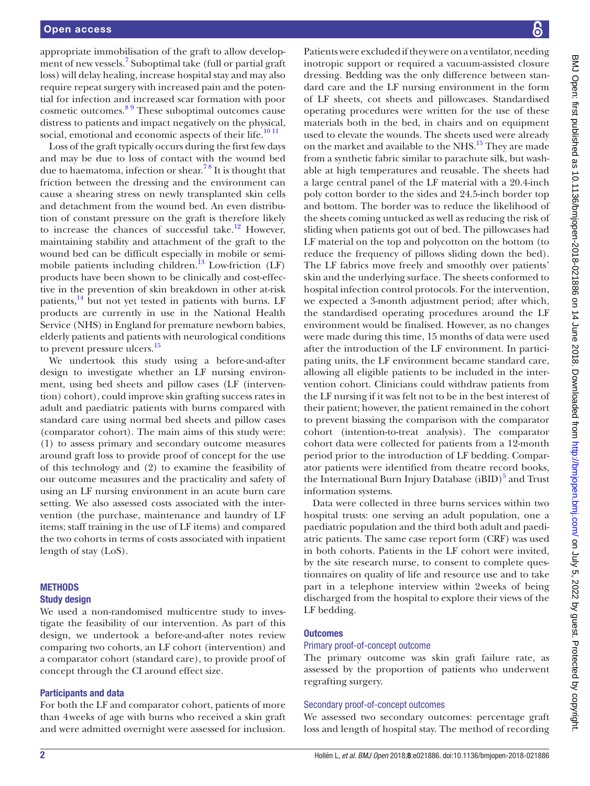appropriate immobilisation of the graft to allow develop-ment of new vessels.<sup>[7](#page-7-5)</sup> Suboptimal take (full or partial graft) loss) will delay healing, increase hospital stay and may also require repeat surgery with increased pain and the potential for infection and increased scar formation with poor cosmetic outcomes.[8 9](#page-7-6) These suboptimal outcomes cause distress to patients and impact negatively on the physical, social, emotional and economic aspects of their life.<sup>10 11</sup>

Loss of the graft typically occurs during the first few days and may be due to loss of contact with the wound bed due to haematoma, infection or shear.<sup>78</sup> It is thought that friction between the dressing and the environment can cause a shearing stress on newly transplanted skin cells and detachment from the wound bed. An even distribution of constant pressure on the graft is therefore likely to increase the chances of successful take.<sup>[12](#page-7-8)</sup> However, maintaining stability and attachment of the graft to the wound bed can be difficult especially in mobile or semimobile patients including children. $13$  Low-friction (LF) products have been shown to be clinically and cost-effective in the prevention of skin breakdown in other at-risk patients, $14$  but not yet tested in patients with burns. LF products are currently in use in the National Health Service (NHS) in England for premature newborn babies, elderly patients and patients with neurological conditions to prevent pressure ulcers.<sup>15</sup>

We undertook this study using a before-and-after design to investigate whether an LF nursing environment, using bed sheets and pillow cases (LF (intervention) cohort), could improve skin grafting success rates in adult and paediatric patients with burns compared with standard care using normal bed sheets and pillow cases (comparator cohort). The main aims of this study were: (1) to assess primary and secondary outcome measures around graft loss to provide proof of concept for the use of this technology and (2) to examine the feasibility of our outcome measures and the practicality and safety of using an LF nursing environment in an acute burn care setting. We also assessed costs associated with the intervention (the purchase, maintenance and laundry of LF items; staff training in the use of LF items) and compared the two cohorts in terms of costs associated with inpatient length of stay (LoS).

# **METHODS**

# Study design

We used a non-randomised multicentre study to investigate the feasibility of our intervention. As part of this design, we undertook a before-and-after notes review comparing two cohorts, an LF cohort (intervention) and a comparator cohort (standard care), to provide proof of concept through the CI around effect size.

# Participants and data

For both the LF and comparator cohort, patients of more than 4weeks of age with burns who received a skin graft and were admitted overnight were assessed for inclusion.

Patients were excluded if they were on a ventilator, needing inotropic support or required a vacuum-assisted closure dressing. Bedding was the only difference between standard care and the LF nursing environment in the form of LF sheets, cot sheets and pillowcases. Standardised operating procedures were written for the use of these materials both in the bed, in chairs and on equipment used to elevate the wounds. The sheets used were already on the market and available to the NHS.<sup>15</sup> They are made from a synthetic fabric similar to parachute silk, but washable at high temperatures and reusable. The sheets had a large central panel of the LF material with a 20.4-inch poly cotton border to the sides and 24.5-inch border top and bottom. The border was to reduce the likelihood of the sheets coming untucked as well as reducing the risk of sliding when patients got out of bed. The pillowcases had LF material on the top and polycotton on the bottom (to reduce the frequency of pillows sliding down the bed). The LF fabrics move freely and smoothly over patients' skin and the underlying surface. The sheets conformed to hospital infection control protocols. For the intervention, we expected a 3-month adjustment period; after which, the standardised operating procedures around the LF environment would be finalised. However, as no changes were made during this time, 15 months of data were used after the introduction of the LF environment. In participating units, the LF environment became standard care, allowing all eligible patients to be included in the intervention cohort. Clinicians could withdraw patients from the LF nursing if it was felt not to be in the best interest of their patient; however, the patient remained in the cohort to prevent biassing the comparison with the comparator cohort (intention-to-treat analysis). The comparator cohort data were collected for patients from a 12-month period prior to the introduction of LF bedding. Comparator patients were identified from theatre record books, the International Burn Injury Database (iBID)<sup>[5](#page-7-3)</sup> and Trust information systems.

Data were collected in three burns services within two hospital trusts: one serving an adult population, one a paediatric population and the third both adult and paediatric patients. The same case report form (CRF) was used in both cohorts. Patients in the LF cohort were invited, by the site research nurse, to consent to complete questionnaires on quality of life and resource use and to take part in a telephone interview within 2weeks of being discharged from the hospital to explore their views of the LF bedding.

# **Outcomes**

# Primary proof-of-concept outcome

The primary outcome was skin graft failure rate, as assessed by the proportion of patients who underwent regrafting surgery.

# Secondary proof-of-concept outcomes

We assessed two secondary outcomes: percentage graft loss and length of hospital stay. The method of recording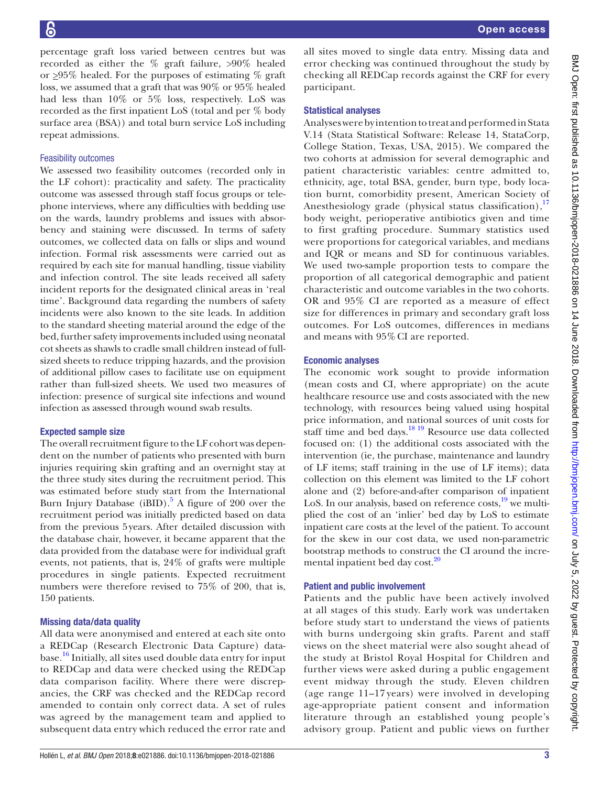percentage graft loss varied between centres but was recorded as either the % graft failure, >90% healed or  $\geq$ 95% healed. For the purposes of estimating % graft loss, we assumed that a graft that was 90% or 95% healed had less than 10% or 5% loss, respectively. LoS was recorded as the first inpatient LoS (total and per % body surface area (BSA)) and total burn service LoS including repeat admissions.

# Feasibility outcomes

We assessed two feasibility outcomes (recorded only in the LF cohort): practicality and safety. The practicality outcome was assessed through staff focus groups or telephone interviews, where any difficulties with bedding use on the wards, laundry problems and issues with absorbency and staining were discussed. In terms of safety outcomes, we collected data on falls or slips and wound infection. Formal risk assessments were carried out as required by each site for manual handling, tissue viability and infection control. The site leads received all safety incident reports for the designated clinical areas in 'real time'. Background data regarding the numbers of safety incidents were also known to the site leads. In addition to the standard sheeting material around the edge of the bed, further safety improvements included using neonatal cot sheets as shawls to cradle small children instead of fullsized sheets to reduce tripping hazards, and the provision of additional pillow cases to facilitate use on equipment rather than full-sized sheets. We used two measures of infection: presence of surgical site infections and wound infection as assessed through wound swab results.

# Expected sample size

The overall recruitment figure to the LF cohort was dependent on the number of patients who presented with burn injuries requiring skin grafting and an overnight stay at the three study sites during the recruitment period. This was estimated before study start from the International Burn Injury Database (iBID).<sup>[5](#page-7-3)</sup> A figure of 200 over the recruitment period was initially predicted based on data from the previous 5years. After detailed discussion with the database chair, however, it became apparent that the data provided from the database were for individual graft events, not patients, that is, 24% of grafts were multiple procedures in single patients. Expected recruitment numbers were therefore revised to 75% of 200, that is, 150 patients.

# Missing data/data quality

All data were anonymised and entered at each site onto a REDCap (Research Electronic Data Capture) database.<sup>16</sup> Initially, all sites used double data entry for input to REDCap and data were checked using the REDCap data comparison facility. Where there were discrepancies, the CRF was checked and the REDCap record amended to contain only correct data. A set of rules was agreed by the management team and applied to subsequent data entry which reduced the error rate and

all sites moved to single data entry. Missing data and error checking was continued throughout the study by checking all REDCap records against the CRF for every participant.

#### Statistical analyses

Analyses were by intention to treat and performed in Stata V.14 (Stata Statistical Software: Release 14, StataCorp, College Station, Texas, USA, 2015). We compared the two cohorts at admission for several demographic and patient characteristic variables: centre admitted to, ethnicity, age, total BSA, gender, burn type, body location burnt, comorbidity present, American Society of Anesthesiology grade (physical status classification),<sup>[17](#page-7-13)</sup> body weight, perioperative antibiotics given and time to first grafting procedure. Summary statistics used were proportions for categorical variables, and medians and IQR or means and SD for continuous variables. We used two-sample proportion tests to compare the proportion of all categorical demographic and patient characteristic and outcome variables in the two cohorts. OR and 95% CI are reported as a measure of effect size for differences in primary and secondary graft loss outcomes. For LoS outcomes, differences in medians and means with 95% CI are reported.

# Economic analyses

The economic work sought to provide information (mean costs and CI, where appropriate) on the acute healthcare resource use and costs associated with the new technology, with resources being valued using hospital price information, and national sources of unit costs for staff time and bed days.<sup>[18 19](#page-7-14)</sup> Resource use data collected focused on: (1) the additional costs associated with the intervention (ie, the purchase, maintenance and laundry of LF items; staff training in the use of LF items); data collection on this element was limited to the LF cohort alone and (2) before-and-after comparison of inpatient LoS. In our analysis, based on reference costs, <sup>19</sup> we multiplied the cost of an 'inlier' bed day by LoS to estimate inpatient care costs at the level of the patient. To account for the skew in our cost data, we used non-parametric bootstrap methods to construct the CI around the incremental inpatient bed day cost.<sup>20</sup>

# Patient and public involvement

Patients and the public have been actively involved at all stages of this study. Early work was undertaken before study start to understand the views of patients with burns undergoing skin grafts. Parent and staff views on the sheet material were also sought ahead of the study at Bristol Royal Hospital for Children and further views were asked during a public engagement event midway through the study. Eleven children (age range 11–17 years) were involved in developing age-appropriate patient consent and information literature through an established young people's advisory group. Patient and public views on further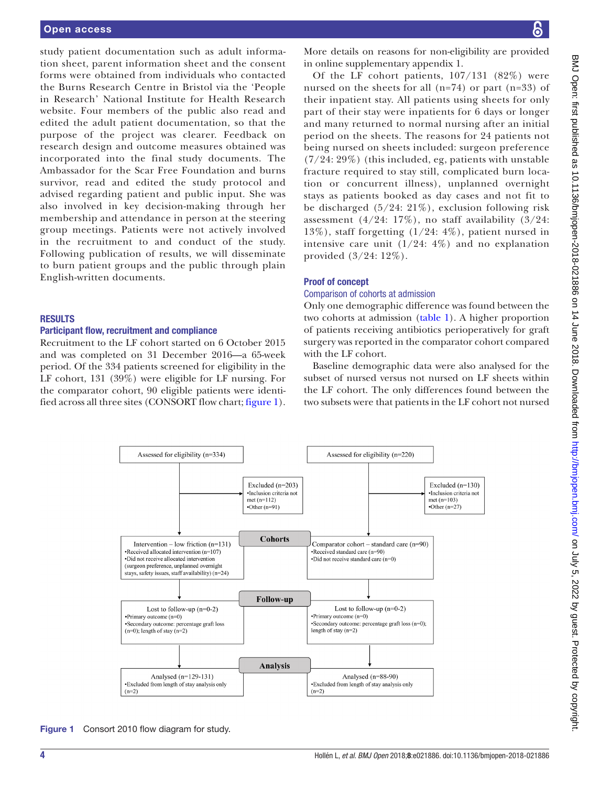study patient documentation such as adult information sheet, parent information sheet and the consent forms were obtained from individuals who contacted the Burns Research Centre in Bristol via the 'People in Research' National Institute for Health Research website. Four members of the public also read and edited the adult patient documentation, so that the purpose of the project was clearer. Feedback on research design and outcome measures obtained was incorporated into the final study documents. The Ambassador for the Scar Free Foundation and burns survivor, read and edited the study protocol and advised regarding patient and public input. She was also involved in key decision-making through her membership and attendance in person at the steering group meetings. Patients were not actively involved in the recruitment to and conduct of the study. Following publication of results, we will disseminate to burn patient groups and the public through plain English-written documents.

#### **RESULTS**

#### Participant flow, recruitment and compliance

Recruitment to the LF cohort started on 6 October 2015 and was completed on 31 December 2016—a 65-week period. Of the 334 patients screened for eligibility in the LF cohort, 131 (39%) were eligible for LF nursing. For the comparator cohort, 90 eligible patients were identified across all three sites (CONSORT flow chart; [figure](#page-3-0) 1).

More details on reasons for non-eligibility are provided in online [supplementary appendix 1](https://dx.doi.org/10.1136/bmjopen-2018-021886).

Of the LF cohort patients, 107/131 (82%) were nursed on the sheets for all  $(n=74)$  or part  $(n=33)$  of their inpatient stay. All patients using sheets for only part of their stay were inpatients for 6 days or longer and many returned to normal nursing after an initial period on the sheets. The reasons for 24 patients not being nursed on sheets included: surgeon preference (7/24: 29%) (this included, eg, patients with unstable fracture required to stay still, complicated burn location or concurrent illness), unplanned overnight stays as patients booked as day cases and not fit to be discharged  $(5/24: 21\%)$ , exclusion following risk assessment  $(4/24: 17\%)$ , no staff availability  $(3/24: 17\%)$ 13%), staff forgetting (1/24: 4%), patient nursed in intensive care unit  $(1/24: 4\%)$  and no explanation provided (3/24: 12%).

#### Proof of concept

#### Comparison of cohorts at admission

Only one demographic difference was found between the two cohorts at admission ([table](#page-4-0) 1). A higher proportion of patients receiving antibiotics perioperatively for graft surgery was reported in the comparator cohort compared with the LF cohort.

Baseline demographic data were also analysed for the subset of nursed versus not nursed on LF sheets within the LF cohort. The only differences found between the two subsets were that patients in the LF cohort not nursed



<span id="page-3-0"></span>Figure 1 Consort 2010 flow diagram for study.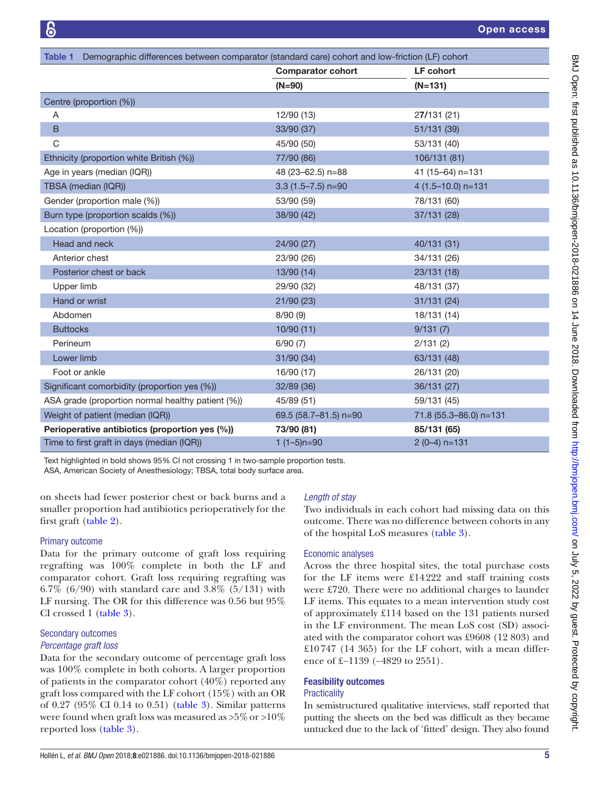<span id="page-4-0"></span>

| Demographic differences between comparator (standard care) cohort and low-friction (LF) cohort<br>Table 1 |                          |                        |  |  |  |
|-----------------------------------------------------------------------------------------------------------|--------------------------|------------------------|--|--|--|
|                                                                                                           | <b>Comparator cohort</b> | <b>LF</b> cohort       |  |  |  |
|                                                                                                           | $(N=90)$                 | $(N=131)$              |  |  |  |
| Centre (proportion (%))                                                                                   |                          |                        |  |  |  |
| Α                                                                                                         | 12/90 (13)               | 27/131 (21)            |  |  |  |
| B                                                                                                         | 33/90 (37)               | 51/131 (39)            |  |  |  |
| $\mathsf C$                                                                                               | 45/90 (50)               | 53/131 (40)            |  |  |  |
| Ethnicity (proportion white British (%))                                                                  | 77/90 (86)               | 106/131 (81)           |  |  |  |
| Age in years (median (IQR))                                                                               | 48 (23-62.5) n=88        | 41 (15-64) n=131       |  |  |  |
| TBSA (median (IQR))                                                                                       | $3.3(1.5 - 7.5)$ n=90    | 4 (1.5-10.0) n=131     |  |  |  |
| Gender (proportion male (%))                                                                              | 53/90 (59)               | 78/131 (60)            |  |  |  |
| Burn type (proportion scalds (%))                                                                         | 38/90 (42)               | 37/131 (28)            |  |  |  |
| Location (proportion (%))                                                                                 |                          |                        |  |  |  |
| Head and neck                                                                                             | 24/90 (27)               | 40/131 (31)            |  |  |  |
| Anterior chest                                                                                            | 23/90 (26)               | 34/131 (26)            |  |  |  |
| Posterior chest or back                                                                                   | 13/90 (14)               | 23/131 (18)            |  |  |  |
| Upper limb                                                                                                | 29/90 (32)               | 48/131 (37)            |  |  |  |
| Hand or wrist                                                                                             | 21/90 (23)               | 31/131 (24)            |  |  |  |
| Abdomen                                                                                                   | 8/90(9)                  | 18/131 (14)            |  |  |  |
| <b>Buttocks</b>                                                                                           | 10/90(11)                | 9/131(7)               |  |  |  |
| Perineum                                                                                                  | 6/90(7)                  | 2/131(2)               |  |  |  |
| Lower limb                                                                                                | 31/90 (34)               | 63/131 (48)            |  |  |  |
| Foot or ankle                                                                                             | 16/90 (17)               | 26/131 (20)            |  |  |  |
| Significant comorbidity (proportion yes (%))                                                              | 32/89 (36)               | 36/131 (27)            |  |  |  |
| ASA grade (proportion normal healthy patient (%))                                                         | 45/89 (51)               | 59/131 (45)            |  |  |  |
| Weight of patient (median (IQR))                                                                          | 69.5 (58.7-81.5) n=90    | 71.8 (55.3-86.0) n=131 |  |  |  |
| Perioperative antibiotics (proportion yes (%))                                                            | 73/90 (81)               | 85/131 (65)            |  |  |  |
| Time to first graft in days (median (IQR))                                                                | $1(1-5)n=90$             | $2(0-4)$ n=131         |  |  |  |

Text highlighted in bold shows 95% CI not crossing 1 in two-sample proportion tests.

ASA, American Society of Anesthesiology; TBSA, total body surface area.

on sheets had fewer posterior chest or back burns and a smaller proportion had antibiotics perioperatively for the first graft [\(table](#page-5-0) 2).

# Primary outcome

Data for the primary outcome of graft loss requiring regrafting was 100% complete in both the LF and comparator cohort. Graft loss requiring regrafting was 6.7% (6/90) with standard care and 3.8% (5/131) with LF nursing. The OR for this difference was 0.56 but 95% CI crossed 1 [\(table](#page-6-0) 3).

# Secondary outcomes *Percentage graft loss*

Data for the secondary outcome of percentage graft loss was 100% complete in both cohorts. A larger proportion of patients in the comparator cohort (40%) reported any graft loss compared with the LF cohort (15%) with an OR of 0.27 (95% CI 0.14 to 0.51) [\(table](#page-6-0) 3). Similar patterns were found when graft loss was measured as >5%or >10% reported loss [\(table](#page-6-0) 3).

# *Length of stay*

Two individuals in each cohort had missing data on this outcome. There was no difference between cohorts in any of the hospital LoS measures [\(table](#page-6-0) 3).

# Economic analyses

Across the three hospital sites, the total purchase costs for the LF items were £14222 and staff training costs were £720. There were no additional charges to launder LF items. This equates to a mean intervention study cost of approximately £114 based on the 131 patients nursed in the LF environment. The mean LoS cost (SD) associated with the comparator cohort was £9608 (12 803) and £10747 (14 365) for the LF cohort, with a mean difference of £−1139 (−4829 to 2551).

# Feasibility outcomes

# **Practicality**

In semistructured qualitative interviews, staff reported that putting the sheets on the bed was difficult as they became untucked due to the lack of 'fitted' design. They also found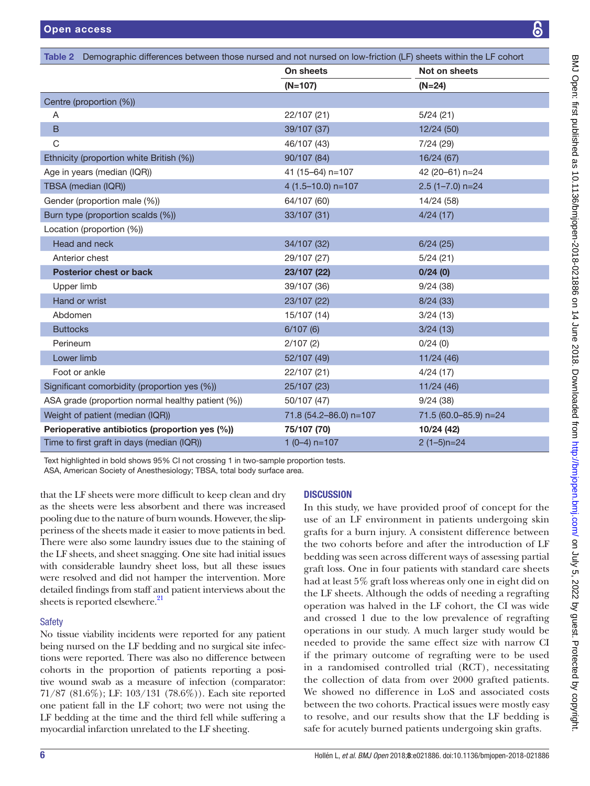<span id="page-5-0"></span>

| Demographic differences between those nursed and not nursed on low-friction (LF) sheets within the LF cohort<br>Table 2 |                        |                       |  |  |  |
|-------------------------------------------------------------------------------------------------------------------------|------------------------|-----------------------|--|--|--|
|                                                                                                                         | On sheets              | Not on sheets         |  |  |  |
|                                                                                                                         | $(N=107)$              | $(N=24)$              |  |  |  |
| Centre (proportion (%))                                                                                                 |                        |                       |  |  |  |
| A                                                                                                                       | 22/107 (21)            | 5/24(21)              |  |  |  |
| B                                                                                                                       | 39/107 (37)            | 12/24(50)             |  |  |  |
| C                                                                                                                       | 46/107 (43)            | 7/24 (29)             |  |  |  |
| Ethnicity (proportion white British (%))                                                                                | 90/107 (84)            | 16/24 (67)            |  |  |  |
| Age in years (median (IQR))                                                                                             | 41 (15-64) n=107       | 42 (20-61) n=24       |  |  |  |
| TBSA (median (IQR))                                                                                                     | 4 (1.5-10.0) n=107     | $2.5(1 - 7.0)$ n=24   |  |  |  |
| Gender (proportion male (%))                                                                                            | 64/107 (60)            | 14/24 (58)            |  |  |  |
| Burn type (proportion scalds (%))                                                                                       | 33/107 (31)            | 4/24(17)              |  |  |  |
| Location (proportion (%))                                                                                               |                        |                       |  |  |  |
| Head and neck                                                                                                           | 34/107 (32)            | 6/24(25)              |  |  |  |
| Anterior chest                                                                                                          | 29/107 (27)            | 5/24(21)              |  |  |  |
| <b>Posterior chest or back</b>                                                                                          | 23/107 (22)            | 0/24(0)               |  |  |  |
| Upper limb                                                                                                              | 39/107 (36)            | 9/24(38)              |  |  |  |
| Hand or wrist                                                                                                           | 23/107 (22)            | 8/24(33)              |  |  |  |
| Abdomen                                                                                                                 | 15/107 (14)            | 3/24(13)              |  |  |  |
| <b>Buttocks</b>                                                                                                         | 6/107(6)               | 3/24(13)              |  |  |  |
| Perineum                                                                                                                | 2/107(2)               | 0/24(0)               |  |  |  |
| Lower limb                                                                                                              | 52/107 (49)            | 11/24(46)             |  |  |  |
| Foot or ankle                                                                                                           | 22/107 (21)            | 4/24(17)              |  |  |  |
| Significant comorbidity (proportion yes (%))                                                                            | 25/107 (23)            | 11/24(46)             |  |  |  |
| ASA grade (proportion normal healthy patient (%))                                                                       | 50/107 (47)            | 9/24(38)              |  |  |  |
| Weight of patient (median (IQR))                                                                                        | 71.8 (54.2-86.0) n=107 | 71.5 (60.0-85.9) n=24 |  |  |  |
| Perioperative antibiotics (proportion yes (%))                                                                          | 75/107 (70)            | 10/24 (42)            |  |  |  |
| Time to first graft in days (median (IQR))                                                                              | $1(0-4)$ n=107         | $2(1-5)$ n=24         |  |  |  |

Text highlighted in bold shows 95% CI not crossing 1 in two-sample proportion tests.

ASA, American Society of Anesthesiology; TBSA, total body surface area.

that the LF sheets were more difficult to keep clean and dry as the sheets were less absorbent and there was increased pooling due to the nature of burn wounds. However, the slipperiness of the sheets made it easier to move patients in bed. There were also some laundry issues due to the staining of the LF sheets, and sheet snagging. One site had initial issues with considerable laundry sheet loss, but all these issues were resolved and did not hamper the intervention. More detailed findings from staff and patient interviews about the sheets is reported elsewhere.<sup>21</sup>

# **Safety**

No tissue viability incidents were reported for any patient being nursed on the LF bedding and no surgical site infections were reported. There was also no difference between cohorts in the proportion of patients reporting a positive wound swab as a measure of infection (comparator: 71/87 (81.6%); LF: 103/131 (78.6%)). Each site reported one patient fall in the LF cohort; two were not using the LF bedding at the time and the third fell while suffering a myocardial infarction unrelated to the LF sheeting.

# **DISCUSSION**

In this study, we have provided proof of concept for the use of an LF environment in patients undergoing skin grafts for a burn injury. A consistent difference between the two cohorts before and after the introduction of LF bedding was seen across different ways of assessing partial graft loss. One in four patients with standard care sheets had at least 5% graft loss whereas only one in eight did on the LF sheets. Although the odds of needing a regrafting operation was halved in the LF cohort, the CI was wide and crossed 1 due to the low prevalence of regrafting operations in our study. A much larger study would be needed to provide the same effect size with narrow CI if the primary outcome of regrafting were to be used in a randomised controlled trial (RCT), necessitating the collection of data from over 2000 grafted patients. We showed no difference in LoS and associated costs between the two cohorts. Practical issues were mostly easy to resolve, and our results show that the LF bedding is safe for acutely burned patients undergoing skin grafts.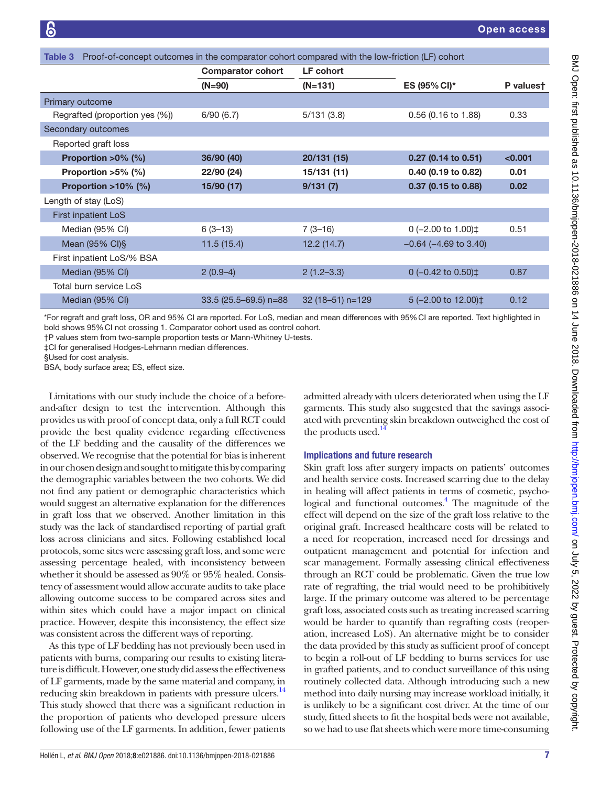<span id="page-6-0"></span>

| Proof-of-concept outcomes in the comparator cohort compared with the low-friction (LF) cohort<br>Table 3 |                          |                   |                                |           |  |  |  |
|----------------------------------------------------------------------------------------------------------|--------------------------|-------------------|--------------------------------|-----------|--|--|--|
|                                                                                                          | <b>Comparator cohort</b> | LF cohort         |                                |           |  |  |  |
|                                                                                                          | $(N=90)$                 | $(N=131)$         | ES (95% CI)*                   | P valuest |  |  |  |
| Primary outcome                                                                                          |                          |                   |                                |           |  |  |  |
| Regrafted (proportion yes (%))                                                                           | 6/90(6.7)                | 5/131(3.8)        | 0.56 (0.16 to 1.88)            | 0.33      |  |  |  |
| Secondary outcomes                                                                                       |                          |                   |                                |           |  |  |  |
| Reported graft loss                                                                                      |                          |                   |                                |           |  |  |  |
| Proportion $>0\%$ (%)                                                                                    | 36/90 (40)               | 20/131 (15)       | 0.27 (0.14 to 0.51)            | < 0.001   |  |  |  |
| Proportion $>5\%$ (%)                                                                                    | 22/90 (24)               | 15/131 (11)       | 0.40 (0.19 to 0.82)            | 0.01      |  |  |  |
| Proportion $>10\%$ (%)                                                                                   | 15/90 (17)               | 9/131(7)          | 0.37 (0.15 to 0.88)            | 0.02      |  |  |  |
| Length of stay (LoS)                                                                                     |                          |                   |                                |           |  |  |  |
| <b>First inpatient LoS</b>                                                                               |                          |                   |                                |           |  |  |  |
| Median (95% CI)                                                                                          | $6(3-13)$                | $7(3-16)$         | 0 (-2.00 to 1.00)‡             | 0.51      |  |  |  |
| Mean (95% CI) §                                                                                          | 11.5(15.4)               | 12.2(14.7)        | $-0.64$ ( $-4.69$ to 3.40)     |           |  |  |  |
| First inpatient LoS/% BSA                                                                                |                          |                   |                                |           |  |  |  |
| Median (95% CI)                                                                                          | $2(0.9-4)$               | $2(1.2 - 3.3)$    | 0 $(-0.42 \text{ to } 0.50)$ ‡ | 0.87      |  |  |  |
| Total burn service LoS                                                                                   |                          |                   |                                |           |  |  |  |
| Median (95% CI)                                                                                          | 33.5 (25.5-69.5) n=88    | $32(18-51)$ n=129 | $5(-2.00 \text{ to } 12.00)$   | 0.12      |  |  |  |

\*For regraft and graft loss, OR and 95% CI are reported. For LoS, median and mean differences with 95%CI are reported. Text highlighted in bold shows 95%CI not crossing 1. Comparator cohort used as control cohort.

†P values stem from two-sample proportion tests or Mann-Whitney U-tests.

‡CI for generalised Hodges-Lehmann median differences.

§Used for cost analysis.

BSA, body surface area; ES, effect size.

Limitations with our study include the choice of a beforeand-after design to test the intervention. Although this provides us with proof of concept data, only a full RCT could provide the best quality evidence regarding effectiveness of the LF bedding and the causality of the differences we observed. We recognise that the potential for bias is inherent in our chosen design and sought to mitigate this by comparing the demographic variables between the two cohorts. We did not find any patient or demographic characteristics which would suggest an alternative explanation for the differences in graft loss that we observed. Another limitation in this study was the lack of standardised reporting of partial graft loss across clinicians and sites. Following established local protocols, some sites were assessing graft loss, and some were assessing percentage healed, with inconsistency between whether it should be assessed as 90% or 95% healed. Consistency of assessment would allow accurate audits to take place allowing outcome success to be compared across sites and within sites which could have a major impact on clinical practice. However, despite this inconsistency, the effect size was consistent across the different ways of reporting.

As this type of LF bedding has not previously been used in patients with burns, comparing our results to existing literature is difficult. However, one study did assess the effectiveness of LF garments, made by the same material and company, in reducing skin breakdown in patients with pressure ulcers.<sup>[14](#page-7-10)</sup> This study showed that there was a significant reduction in the proportion of patients who developed pressure ulcers following use of the LF garments. In addition, fewer patients

admitted already with ulcers deteriorated when using the LF garments. This study also suggested that the savings associated with preventing skin breakdown outweighed the cost of the products used.<sup>14</sup>

#### Implications and future research

Skin graft loss after surgery impacts on patients' outcomes and health service costs. Increased scarring due to the delay in healing will affect patients in terms of cosmetic, psychological and functional outcomes.<sup>4</sup> The magnitude of the effect will depend on the size of the graft loss relative to the original graft. Increased healthcare costs will be related to a need for reoperation, increased need for dressings and outpatient management and potential for infection and scar management. Formally assessing clinical effectiveness through an RCT could be problematic. Given the true low rate of regrafting, the trial would need to be prohibitively large. If the primary outcome was altered to be percentage graft loss, associated costs such as treating increased scarring would be harder to quantify than regrafting costs (reoperation, increased LoS). An alternative might be to consider the data provided by this study as sufficient proof of concept to begin a roll-out of LF bedding to burns services for use in grafted patients, and to conduct surveillance of this using routinely collected data. Although introducing such a new method into daily nursing may increase workload initially, it is unlikely to be a significant cost driver. At the time of our study, fitted sheets to fit the hospital beds were not available, so we had to use flat sheets which were more time-consuming